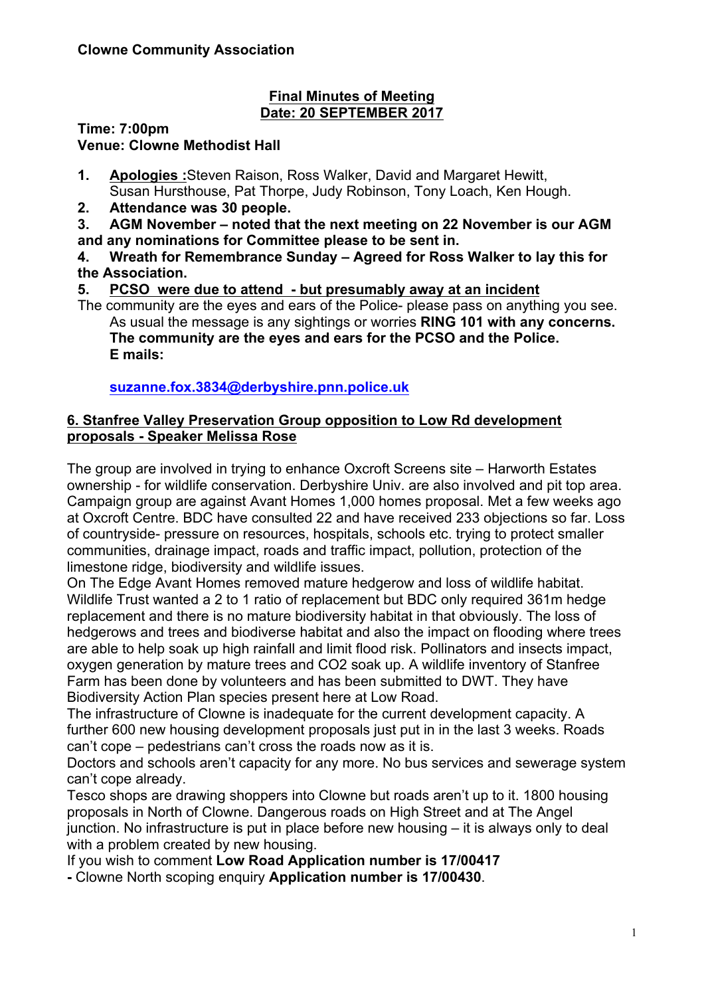#### **Final Minutes of Meeting Date: 20 SEPTEMBER 2017**

**Time: 7:00pm Venue: Clowne Methodist Hall**

**1. Apologies :**Steven Raison, Ross Walker, David and Margaret Hewitt, Susan Hursthouse, Pat Thorpe, Judy Robinson, Tony Loach, Ken Hough.

**2. Attendance was 30 people.**

**3. AGM November – noted that the next meeting on 22 November is our AGM and any nominations for Committee please to be sent in.**

**4. Wreath for Remembrance Sunday – Agreed for Ross Walker to lay this for the Association.**

# **5. PCSO were due to attend - but presumably away at an incident**

The community are the eyes and ears of the Police- please pass on anything you see. As usual the message is any sightings or worries **RING 101 with any concerns. The community are the eyes and ears for the PCSO and the Police. E mails:**

**suzanne.fox.3834@derbyshire.pnn.police.uk**

## **6. Stanfree Valley Preservation Group opposition to Low Rd development proposals - Speaker Melissa Rose**

The group are involved in trying to enhance Oxcroft Screens site – Harworth Estates ownership - for wildlife conservation. Derbyshire Univ. are also involved and pit top area. Campaign group are against Avant Homes 1,000 homes proposal. Met a few weeks ago at Oxcroft Centre. BDC have consulted 22 and have received 233 objections so far. Loss of countryside- pressure on resources, hospitals, schools etc. trying to protect smaller communities, drainage impact, roads and traffic impact, pollution, protection of the limestone ridge, biodiversity and wildlife issues.

On The Edge Avant Homes removed mature hedgerow and loss of wildlife habitat. Wildlife Trust wanted a 2 to 1 ratio of replacement but BDC only required 361m hedge replacement and there is no mature biodiversity habitat in that obviously. The loss of hedgerows and trees and biodiverse habitat and also the impact on flooding where trees are able to help soak up high rainfall and limit flood risk. Pollinators and insects impact, oxygen generation by mature trees and CO2 soak up. A wildlife inventory of Stanfree Farm has been done by volunteers and has been submitted to DWT. They have Biodiversity Action Plan species present here at Low Road.

The infrastructure of Clowne is inadequate for the current development capacity. A further 600 new housing development proposals just put in in the last 3 weeks. Roads can't cope – pedestrians can't cross the roads now as it is.

Doctors and schools aren't capacity for any more. No bus services and sewerage system can't cope already.

Tesco shops are drawing shoppers into Clowne but roads aren't up to it. 1800 housing proposals in North of Clowne. Dangerous roads on High Street and at The Angel junction. No infrastructure is put in place before new housing – it is always only to deal with a problem created by new housing.

If you wish to comment **Low Road Application number is 17/00417**

**-** Clowne North scoping enquiry **Application number is 17/00430**.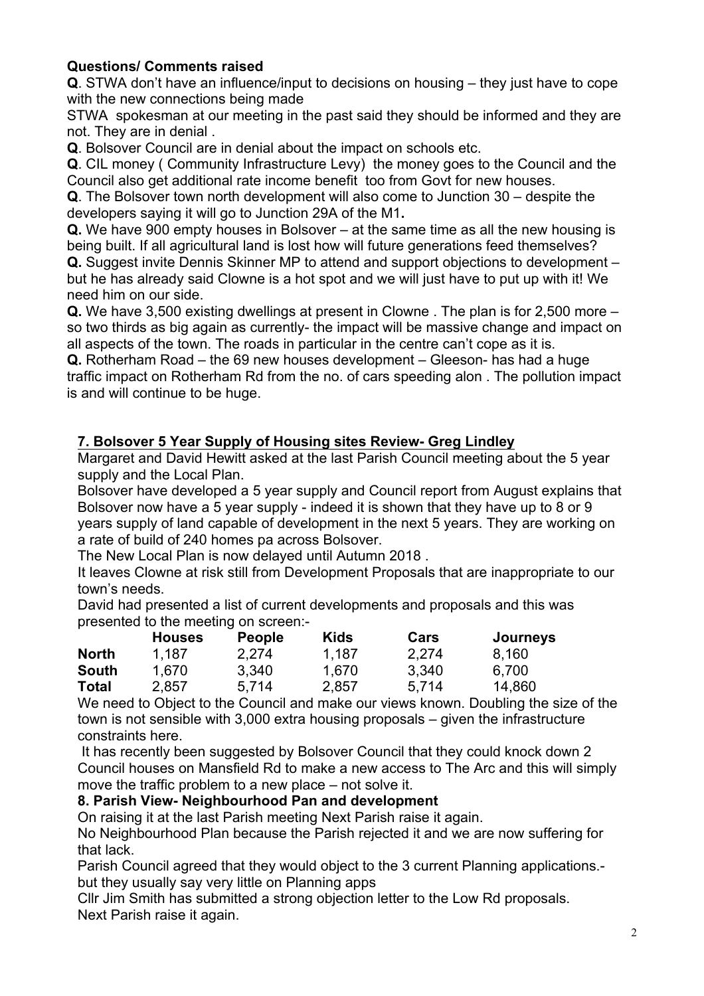# **Questions/ Comments raised**

**Q**. STWA don't have an influence/input to decisions on housing – they just have to cope with the new connections being made

STWA spokesman at our meeting in the past said they should be informed and they are not. They are in denial .

**Q**. Bolsover Council are in denial about the impact on schools etc.

**Q**. CIL money ( Community Infrastructure Levy) the money goes to the Council and the Council also get additional rate income benefit too from Govt for new houses.

**Q**. The Bolsover town north development will also come to Junction 30 – despite the developers saying it will go to Junction 29A of the M1**.**

**Q.** We have 900 empty houses in Bolsover – at the same time as all the new housing is being built. If all agricultural land is lost how will future generations feed themselves?

**Q.** Suggest invite Dennis Skinner MP to attend and support objections to development – but he has already said Clowne is a hot spot and we will just have to put up with it! We need him on our side.

**Q.** We have 3,500 existing dwellings at present in Clowne . The plan is for 2,500 more – so two thirds as big again as currently- the impact will be massive change and impact on all aspects of the town. The roads in particular in the centre can't cope as it is.

**Q.** Rotherham Road – the 69 new houses development – Gleeson- has had a huge traffic impact on Rotherham Rd from the no. of cars speeding alon . The pollution impact is and will continue to be huge.

## **7. Bolsover 5 Year Supply of Housing sites Review- Greg Lindley**

Margaret and David Hewitt asked at the last Parish Council meeting about the 5 year supply and the Local Plan.

Bolsover have developed a 5 year supply and Council report from August explains that Bolsover now have a 5 year supply - indeed it is shown that they have up to 8 or 9 years supply of land capable of development in the next 5 years. They are working on a rate of build of 240 homes pa across Bolsover.

The New Local Plan is now delayed until Autumn 2018 .

It leaves Clowne at risk still from Development Proposals that are inappropriate to our town's needs.

David had presented a list of current developments and proposals and this was presented to the meeting on screen:-

|              | <b>Houses</b> | <b>People</b> | <b>Kids</b> | Cars  | <b>Journeys</b> |
|--------------|---------------|---------------|-------------|-------|-----------------|
| <b>North</b> | 1.187         | 2.274         | 1.187       | 2.274 | 8.160           |
| <b>South</b> | 1.670         | 3.340         | 1,670       | 3,340 | 6.700           |
| <b>Total</b> | 2,857         | 5.714         | 2,857       | 5.714 | 14,860          |

We need to Object to the Council and make our views known. Doubling the size of the town is not sensible with 3,000 extra housing proposals – given the infrastructure constraints here.

It has recently been suggested by Bolsover Council that they could knock down 2 Council houses on Mansfield Rd to make a new access to The Arc and this will simply move the traffic problem to a new place – not solve it.

## **8. Parish View- Neighbourhood Pan and development**

On raising it at the last Parish meeting Next Parish raise it again.

No Neighbourhood Plan because the Parish rejected it and we are now suffering for that lack.

Parish Council agreed that they would object to the 3 current Planning applications. but they usually say very little on Planning apps

Cllr Jim Smith has submitted a strong objection letter to the Low Rd proposals. Next Parish raise it again.